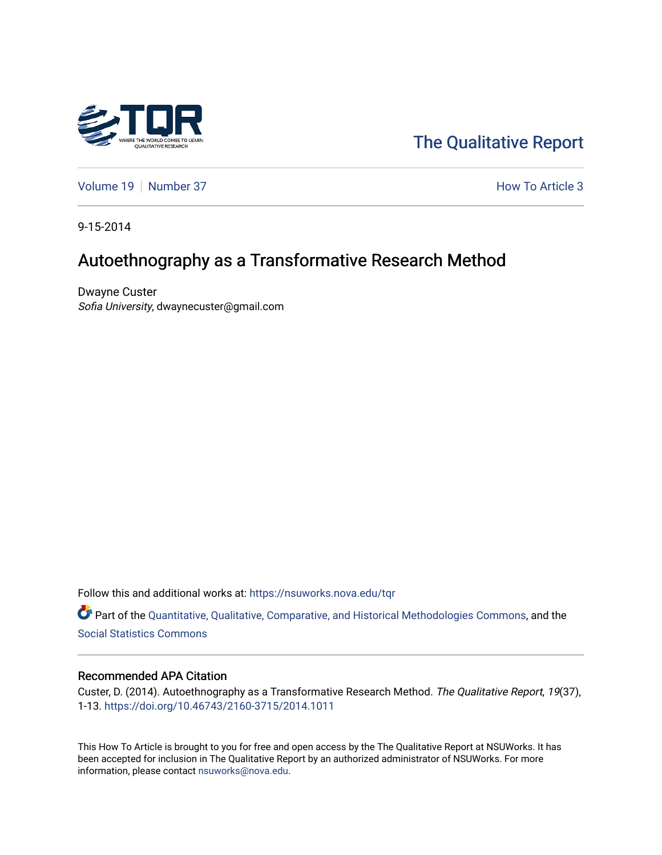

[The Qualitative Report](https://nsuworks.nova.edu/tqr) 

[Volume 19](https://nsuworks.nova.edu/tqr/vol19) [Number 37](https://nsuworks.nova.edu/tqr/vol19/iss37) How To Article 3

9-15-2014

# Autoethnography as a Transformative Research Method

Dwayne Custer Sofia University, dwaynecuster@gmail.com

Follow this and additional works at: [https://nsuworks.nova.edu/tqr](https://nsuworks.nova.edu/tqr?utm_source=nsuworks.nova.edu%2Ftqr%2Fvol19%2Fiss37%2F3&utm_medium=PDF&utm_campaign=PDFCoverPages) 

Part of the [Quantitative, Qualitative, Comparative, and Historical Methodologies Commons,](http://network.bepress.com/hgg/discipline/423?utm_source=nsuworks.nova.edu%2Ftqr%2Fvol19%2Fiss37%2F3&utm_medium=PDF&utm_campaign=PDFCoverPages) and the [Social Statistics Commons](http://network.bepress.com/hgg/discipline/1275?utm_source=nsuworks.nova.edu%2Ftqr%2Fvol19%2Fiss37%2F3&utm_medium=PDF&utm_campaign=PDFCoverPages) 

#### Recommended APA Citation

Custer, D. (2014). Autoethnography as a Transformative Research Method. The Qualitative Report, 19(37), 1-13. <https://doi.org/10.46743/2160-3715/2014.1011>

This How To Article is brought to you for free and open access by the The Qualitative Report at NSUWorks. It has been accepted for inclusion in The Qualitative Report by an authorized administrator of NSUWorks. For more information, please contact [nsuworks@nova.edu.](mailto:nsuworks@nova.edu)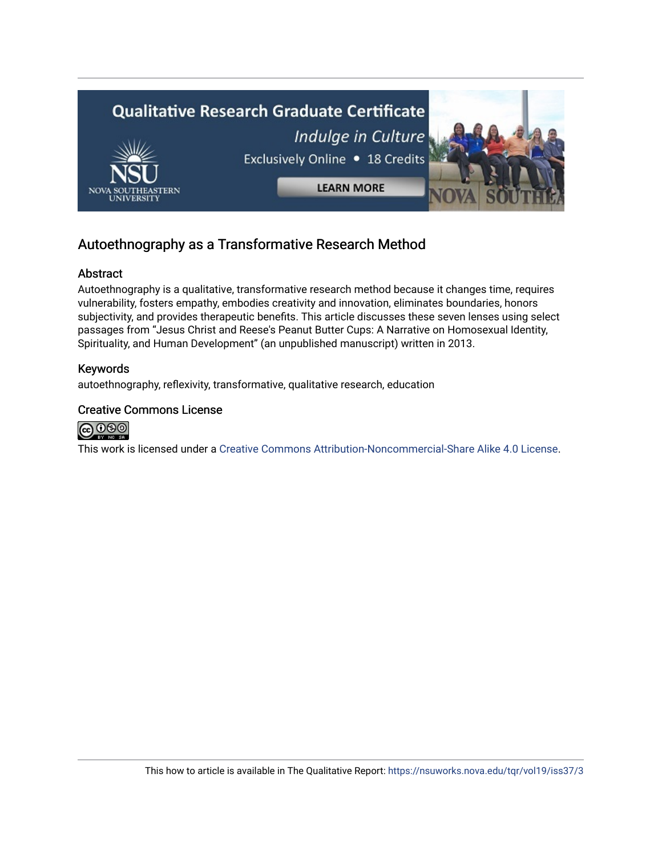

## Autoethnography as a Transformative Research Method

## Abstract

Autoethnography is a qualitative, transformative research method because it changes time, requires vulnerability, fosters empathy, embodies creativity and innovation, eliminates boundaries, honors subjectivity, and provides therapeutic benefits. This article discusses these seven lenses using select passages from "Jesus Christ and Reese's Peanut Butter Cups: A Narrative on Homosexual Identity, Spirituality, and Human Development" (an unpublished manuscript) written in 2013.

## Keywords

autoethnography, reflexivity, transformative, qualitative research, education

## Creative Commons License



This work is licensed under a [Creative Commons Attribution-Noncommercial-Share Alike 4.0 License](https://creativecommons.org/licenses/by-nc-sa/4.0/).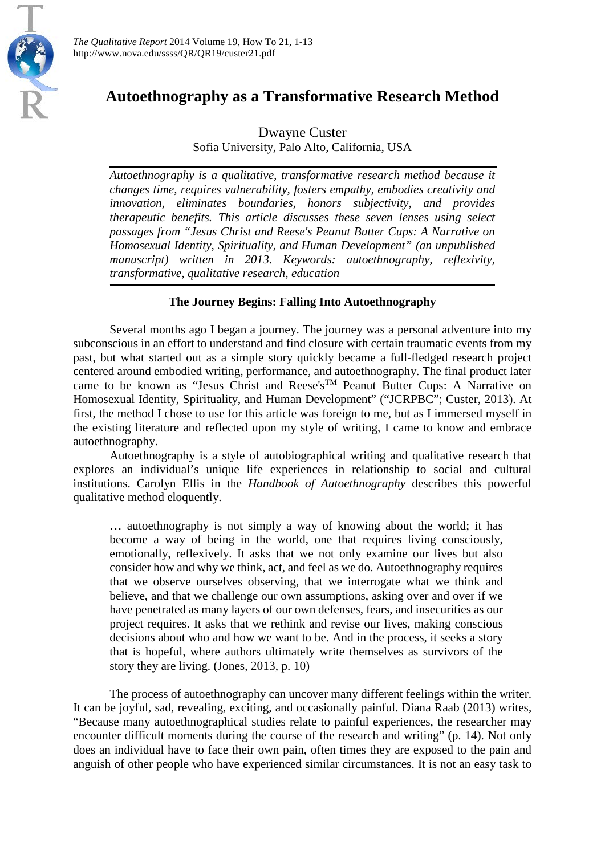

*The Qualitative Report* 2014 Volume 19, How To 21, 1-13 http://www.nova.edu/ssss/QR/QR19/custer21.pdf

## **Autoethnography as a Transformative Research Method**

Dwayne Custer

Sofia University, Palo Alto, California, USA

*Autoethnography is a qualitative, transformative research method because it changes time, requires vulnerability, fosters empathy, embodies creativity and innovation, eliminates boundaries, honors subjectivity, and provides therapeutic benefits. This article discusses these seven lenses using select passages from "Jesus Christ and Reese's Peanut Butter Cups: A Narrative on Homosexual Identity, Spirituality, and Human Development" (an unpublished manuscript) written in 2013. Keywords: autoethnography, reflexivity, transformative, qualitative research, education*

## **The Journey Begins: Falling Into Autoethnography**

Several months ago I began a journey. The journey was a personal adventure into my subconscious in an effort to understand and find closure with certain traumatic events from my past, but what started out as a simple story quickly became a full-fledged research project centered around embodied writing, performance, and autoethnography. The final product later came to be known as "Jesus Christ and Reese's<sup>TM</sup> Peanut Butter Cups: A Narrative on Homosexual Identity, Spirituality, and Human Development" ("JCRPBC"; Custer, 2013). At first, the method I chose to use for this article was foreign to me, but as I immersed myself in the existing literature and reflected upon my style of writing, I came to know and embrace autoethnography.

Autoethnography is a style of autobiographical writing and qualitative research that explores an individual's unique life experiences in relationship to social and cultural institutions. Carolyn Ellis in the *Handbook of Autoethnography* describes this powerful qualitative method eloquently.

… autoethnography is not simply a way of knowing about the world; it has become a way of being in the world, one that requires living consciously, emotionally, reflexively. It asks that we not only examine our lives but also consider how and why we think, act, and feel as we do. Autoethnography requires that we observe ourselves observing, that we interrogate what we think and believe, and that we challenge our own assumptions, asking over and over if we have penetrated as many layers of our own defenses, fears, and insecurities as our project requires. It asks that we rethink and revise our lives, making conscious decisions about who and how we want to be. And in the process, it seeks a story that is hopeful, where authors ultimately write themselves as survivors of the story they are living. (Jones, 2013, p. 10)

The process of autoethnography can uncover many different feelings within the writer. It can be joyful, sad, revealing, exciting, and occasionally painful. Diana Raab (2013) writes, "Because many autoethnographical studies relate to painful experiences, the researcher may encounter difficult moments during the course of the research and writing" (p. 14). Not only does an individual have to face their own pain, often times they are exposed to the pain and anguish of other people who have experienced similar circumstances. It is not an easy task to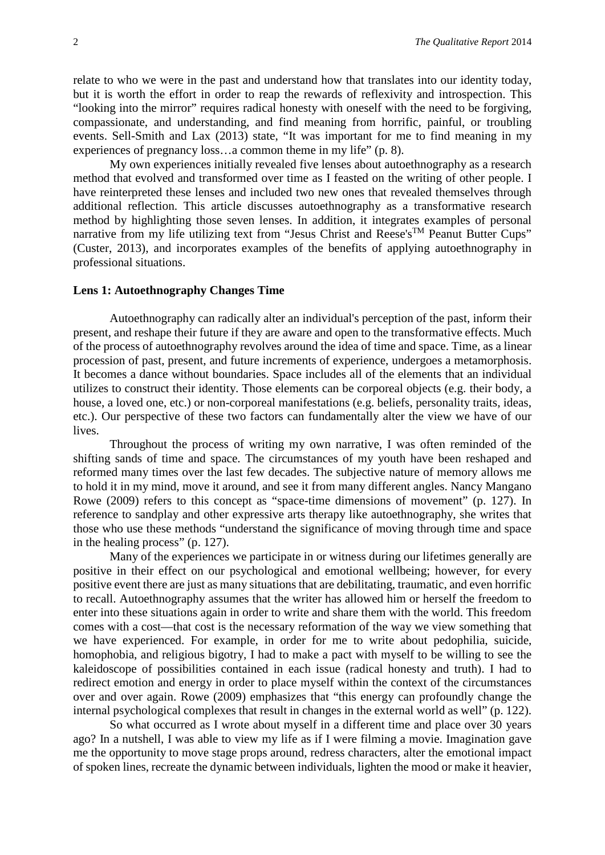relate to who we were in the past and understand how that translates into our identity today, but it is worth the effort in order to reap the rewards of reflexivity and introspection. This "looking into the mirror" requires radical honesty with oneself with the need to be forgiving, compassionate, and understanding, and find meaning from horrific, painful, or troubling events. Sell-Smith and Lax (2013) state, "It was important for me to find meaning in my experiences of pregnancy loss…a common theme in my life" (p. 8).

My own experiences initially revealed five lenses about autoethnography as a research method that evolved and transformed over time as I feasted on the writing of other people. I have reinterpreted these lenses and included two new ones that revealed themselves through additional reflection. This article discusses autoethnography as a transformative research method by highlighting those seven lenses. In addition, it integrates examples of personal narrative from my life utilizing text from "Jesus Christ and Reese's<sup>TM</sup> Peanut Butter Cups" (Custer, 2013), and incorporates examples of the benefits of applying autoethnography in professional situations.

#### **Lens 1: Autoethnography Changes Time**

Autoethnography can radically alter an individual's perception of the past, inform their present, and reshape their future if they are aware and open to the transformative effects. Much of the process of autoethnography revolves around the idea of time and space. Time, as a linear procession of past, present, and future increments of experience, undergoes a metamorphosis. It becomes a dance without boundaries. Space includes all of the elements that an individual utilizes to construct their identity. Those elements can be corporeal objects (e.g. their body, a house, a loved one, etc.) or non-corporeal manifestations (e.g. beliefs, personality traits, ideas, etc.). Our perspective of these two factors can fundamentally alter the view we have of our lives.

Throughout the process of writing my own narrative, I was often reminded of the shifting sands of time and space. The circumstances of my youth have been reshaped and reformed many times over the last few decades. The subjective nature of memory allows me to hold it in my mind, move it around, and see it from many different angles. Nancy Mangano Rowe (2009) refers to this concept as "space-time dimensions of movement" (p. 127). In reference to sandplay and other expressive arts therapy like autoethnography, she writes that those who use these methods "understand the significance of moving through time and space in the healing process" (p. 127).

Many of the experiences we participate in or witness during our lifetimes generally are positive in their effect on our psychological and emotional wellbeing; however, for every positive event there are just as many situations that are debilitating, traumatic, and even horrific to recall. Autoethnography assumes that the writer has allowed him or herself the freedom to enter into these situations again in order to write and share them with the world. This freedom comes with a cost—that cost is the necessary reformation of the way we view something that we have experienced. For example, in order for me to write about pedophilia, suicide, homophobia, and religious bigotry, I had to make a pact with myself to be willing to see the kaleidoscope of possibilities contained in each issue (radical honesty and truth). I had to redirect emotion and energy in order to place myself within the context of the circumstances over and over again. Rowe (2009) emphasizes that "this energy can profoundly change the internal psychological complexes that result in changes in the external world as well" (p. 122).

So what occurred as I wrote about myself in a different time and place over 30 years ago? In a nutshell, I was able to view my life as if I were filming a movie. Imagination gave me the opportunity to move stage props around, redress characters, alter the emotional impact of spoken lines, recreate the dynamic between individuals, lighten the mood or make it heavier,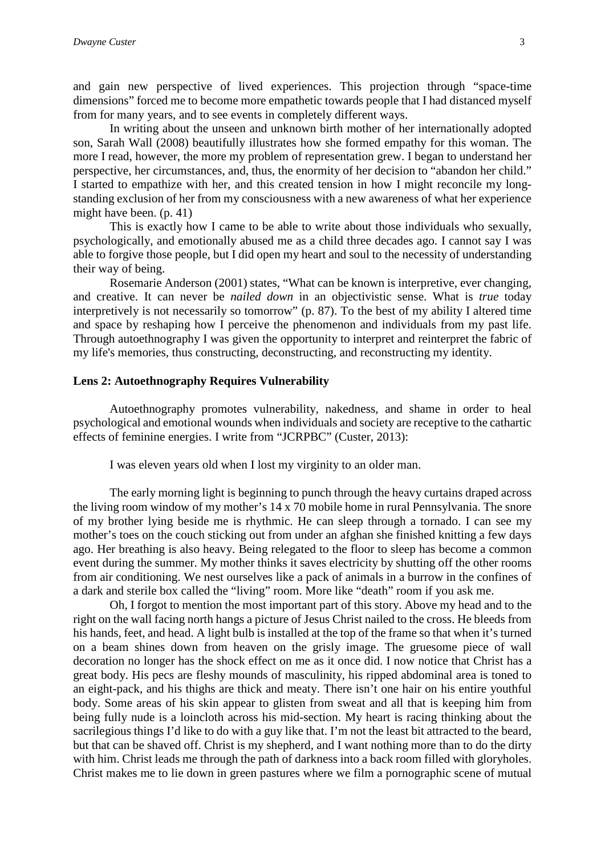and gain new perspective of lived experiences. This projection through "space-time dimensions" forced me to become more empathetic towards people that I had distanced myself from for many years, and to see events in completely different ways.

In writing about the unseen and unknown birth mother of her internationally adopted son, Sarah Wall (2008) beautifully illustrates how she formed empathy for this woman. The more I read, however, the more my problem of representation grew. I began to understand her perspective, her circumstances, and, thus, the enormity of her decision to "abandon her child." I started to empathize with her, and this created tension in how I might reconcile my longstanding exclusion of her from my consciousness with a new awareness of what her experience might have been. (p. 41)

This is exactly how I came to be able to write about those individuals who sexually, psychologically, and emotionally abused me as a child three decades ago. I cannot say I was able to forgive those people, but I did open my heart and soul to the necessity of understanding their way of being.

Rosemarie Anderson (2001) states, "What can be known is interpretive, ever changing, and creative. It can never be *nailed down* in an objectivistic sense. What is *true* today interpretively is not necessarily so tomorrow" (p. 87). To the best of my ability I altered time and space by reshaping how I perceive the phenomenon and individuals from my past life. Through autoethnography I was given the opportunity to interpret and reinterpret the fabric of my life's memories, thus constructing, deconstructing, and reconstructing my identity.

#### **Lens 2: Autoethnography Requires Vulnerability**

Autoethnography promotes vulnerability, nakedness, and shame in order to heal psychological and emotional wounds when individuals and society are receptive to the cathartic effects of feminine energies. I write from "JCRPBC" (Custer, 2013):

I was eleven years old when I lost my virginity to an older man.

The early morning light is beginning to punch through the heavy curtains draped across the living room window of my mother's 14 x 70 mobile home in rural Pennsylvania. The snore of my brother lying beside me is rhythmic. He can sleep through a tornado. I can see my mother's toes on the couch sticking out from under an afghan she finished knitting a few days ago. Her breathing is also heavy. Being relegated to the floor to sleep has become a common event during the summer. My mother thinks it saves electricity by shutting off the other rooms from air conditioning. We nest ourselves like a pack of animals in a burrow in the confines of a dark and sterile box called the "living" room. More like "death" room if you ask me.

Oh, I forgot to mention the most important part of this story. Above my head and to the right on the wall facing north hangs a picture of Jesus Christ nailed to the cross. He bleeds from his hands, feet, and head. A light bulb is installed at the top of the frame so that when it's turned on a beam shines down from heaven on the grisly image. The gruesome piece of wall decoration no longer has the shock effect on me as it once did. I now notice that Christ has a great body. His pecs are fleshy mounds of masculinity, his ripped abdominal area is toned to an eight-pack, and his thighs are thick and meaty. There isn't one hair on his entire youthful body. Some areas of his skin appear to glisten from sweat and all that is keeping him from being fully nude is a loincloth across his mid-section. My heart is racing thinking about the sacrilegious things I'd like to do with a guy like that. I'm not the least bit attracted to the beard, but that can be shaved off. Christ is my shepherd, and I want nothing more than to do the dirty with him. Christ leads me through the path of darkness into a back room filled with gloryholes. Christ makes me to lie down in green pastures where we film a pornographic scene of mutual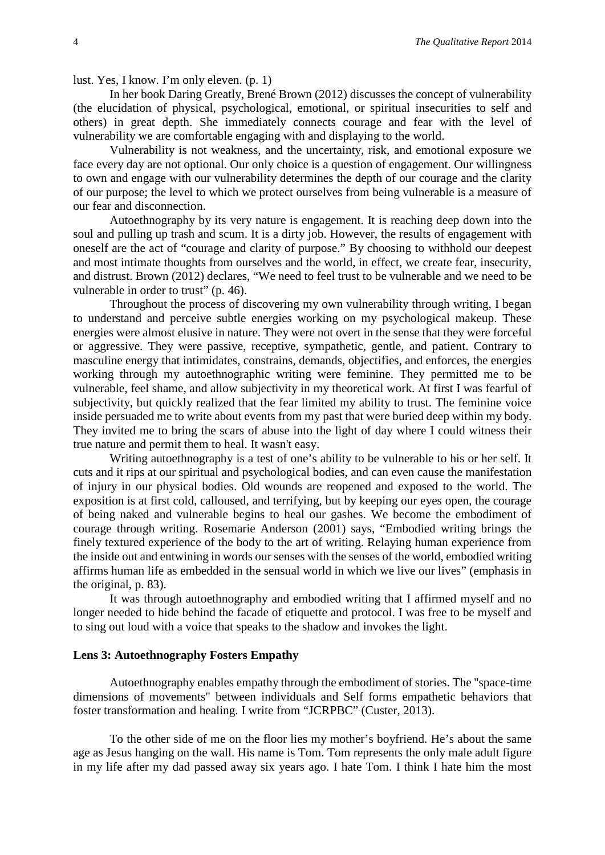lust. Yes, I know. I'm only eleven. (p. 1)

In her book Daring Greatly, Brené Brown (2012) discusses the concept of vulnerability (the elucidation of physical, psychological, emotional, or spiritual insecurities to self and others) in great depth. She immediately connects courage and fear with the level of vulnerability we are comfortable engaging with and displaying to the world.

Vulnerability is not weakness, and the uncertainty, risk, and emotional exposure we face every day are not optional. Our only choice is a question of engagement. Our willingness to own and engage with our vulnerability determines the depth of our courage and the clarity of our purpose; the level to which we protect ourselves from being vulnerable is a measure of our fear and disconnection.

Autoethnography by its very nature is engagement. It is reaching deep down into the soul and pulling up trash and scum. It is a dirty job. However, the results of engagement with oneself are the act of "courage and clarity of purpose." By choosing to withhold our deepest and most intimate thoughts from ourselves and the world, in effect, we create fear, insecurity, and distrust. Brown (2012) declares, "We need to feel trust to be vulnerable and we need to be vulnerable in order to trust" (p. 46).

Throughout the process of discovering my own vulnerability through writing, I began to understand and perceive subtle energies working on my psychological makeup. These energies were almost elusive in nature. They were not overt in the sense that they were forceful or aggressive. They were passive, receptive, sympathetic, gentle, and patient. Contrary to masculine energy that intimidates, constrains, demands, objectifies, and enforces, the energies working through my autoethnographic writing were feminine. They permitted me to be vulnerable, feel shame, and allow subjectivity in my theoretical work. At first I was fearful of subjectivity, but quickly realized that the fear limited my ability to trust. The feminine voice inside persuaded me to write about events from my past that were buried deep within my body. They invited me to bring the scars of abuse into the light of day where I could witness their true nature and permit them to heal. It wasn't easy.

Writing autoethnography is a test of one's ability to be vulnerable to his or her self. It cuts and it rips at our spiritual and psychological bodies, and can even cause the manifestation of injury in our physical bodies. Old wounds are reopened and exposed to the world. The exposition is at first cold, calloused, and terrifying, but by keeping our eyes open, the courage of being naked and vulnerable begins to heal our gashes. We become the embodiment of courage through writing. Rosemarie Anderson (2001) says, "Embodied writing brings the finely textured experience of the body to the art of writing. Relaying human experience from the inside out and entwining in words our senses with the senses of the world, embodied writing affirms human life as embedded in the sensual world in which we live our lives" (emphasis in the original, p. 83).

It was through autoethnography and embodied writing that I affirmed myself and no longer needed to hide behind the facade of etiquette and protocol. I was free to be myself and to sing out loud with a voice that speaks to the shadow and invokes the light.

#### **Lens 3: Autoethnography Fosters Empathy**

Autoethnography enables empathy through the embodiment of stories. The "space-time dimensions of movements" between individuals and Self forms empathetic behaviors that foster transformation and healing. I write from "JCRPBC" (Custer, 2013).

To the other side of me on the floor lies my mother's boyfriend. He's about the same age as Jesus hanging on the wall. His name is Tom. Tom represents the only male adult figure in my life after my dad passed away six years ago. I hate Tom. I think I hate him the most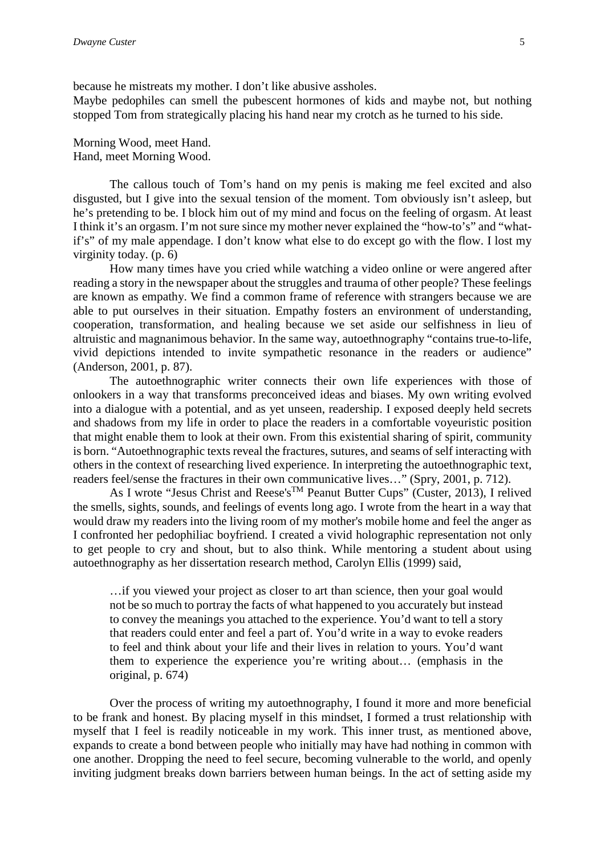because he mistreats my mother. I don't like abusive assholes. Maybe pedophiles can smell the pubescent hormones of kids and maybe not, but nothing stopped Tom from strategically placing his hand near my crotch as he turned to his side.

Morning Wood, meet Hand. Hand, meet Morning Wood.

The callous touch of Tom's hand on my penis is making me feel excited and also disgusted, but I give into the sexual tension of the moment. Tom obviously isn't asleep, but he's pretending to be. I block him out of my mind and focus on the feeling of orgasm. At least I think it's an orgasm. I'm not sure since my mother never explained the "how-to's" and "whatif's" of my male appendage. I don't know what else to do except go with the flow. I lost my virginity today. (p. 6)

How many times have you cried while watching a video online or were angered after reading a story in the newspaper about the struggles and trauma of other people? These feelings are known as empathy. We find a common frame of reference with strangers because we are able to put ourselves in their situation. Empathy fosters an environment of understanding, cooperation, transformation, and healing because we set aside our selfishness in lieu of altruistic and magnanimous behavior. In the same way, autoethnography "contains true-to-life, vivid depictions intended to invite sympathetic resonance in the readers or audience" (Anderson, 2001, p. 87).

The autoethnographic writer connects their own life experiences with those of onlookers in a way that transforms preconceived ideas and biases. My own writing evolved into a dialogue with a potential, and as yet unseen, readership. I exposed deeply held secrets and shadows from my life in order to place the readers in a comfortable voyeuristic position that might enable them to look at their own. From this existential sharing of spirit, community is born. "Autoethnographic texts reveal the fractures, sutures, and seams of self interacting with others in the context of researching lived experience. In interpreting the autoethnographic text, readers feel/sense the fractures in their own communicative lives…" (Spry, 2001, p. 712).

As I wrote "Jesus Christ and Reese's<sup>™</sup> Peanut Butter Cups" (Custer, 2013), I relived the smells, sights, sounds, and feelings of events long ago. I wrote from the heart in a way that would draw my readers into the living room of my mother's mobile home and feel the anger as I confronted her pedophiliac boyfriend. I created a vivid holographic representation not only to get people to cry and shout, but to also think. While mentoring a student about using autoethnography as her dissertation research method, Carolyn Ellis (1999) said,

…if you viewed your project as closer to art than science, then your goal would not be so much to portray the facts of what happened to you accurately but instead to convey the meanings you attached to the experience. You'd want to tell a story that readers could enter and feel a part of. You'd write in a way to evoke readers to feel and think about your life and their lives in relation to yours. You'd want them to experience the experience you're writing about… (emphasis in the original, p. 674)

Over the process of writing my autoethnography, I found it more and more beneficial to be frank and honest. By placing myself in this mindset, I formed a trust relationship with myself that I feel is readily noticeable in my work. This inner trust, as mentioned above, expands to create a bond between people who initially may have had nothing in common with one another. Dropping the need to feel secure, becoming vulnerable to the world, and openly inviting judgment breaks down barriers between human beings. In the act of setting aside my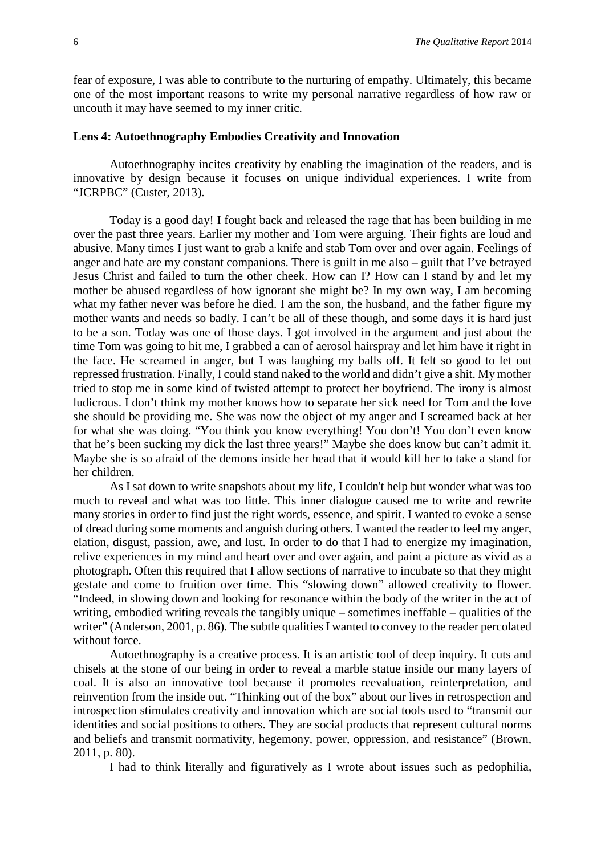fear of exposure, I was able to contribute to the nurturing of empathy. Ultimately, this became one of the most important reasons to write my personal narrative regardless of how raw or uncouth it may have seemed to my inner critic.

#### **Lens 4: Autoethnography Embodies Creativity and Innovation**

Autoethnography incites creativity by enabling the imagination of the readers, and is innovative by design because it focuses on unique individual experiences. I write from "JCRPBC" (Custer, 2013).

Today is a good day! I fought back and released the rage that has been building in me over the past three years. Earlier my mother and Tom were arguing. Their fights are loud and abusive. Many times I just want to grab a knife and stab Tom over and over again. Feelings of anger and hate are my constant companions. There is guilt in me also – guilt that I've betrayed Jesus Christ and failed to turn the other cheek. How can I? How can I stand by and let my mother be abused regardless of how ignorant she might be? In my own way, I am becoming what my father never was before he died. I am the son, the husband, and the father figure my mother wants and needs so badly. I can't be all of these though, and some days it is hard just to be a son. Today was one of those days. I got involved in the argument and just about the time Tom was going to hit me, I grabbed a can of aerosol hairspray and let him have it right in the face. He screamed in anger, but I was laughing my balls off. It felt so good to let out repressed frustration. Finally, I could stand naked to the world and didn't give a shit. My mother tried to stop me in some kind of twisted attempt to protect her boyfriend. The irony is almost ludicrous. I don't think my mother knows how to separate her sick need for Tom and the love she should be providing me. She was now the object of my anger and I screamed back at her for what she was doing. "You think you know everything! You don't! You don't even know that he's been sucking my dick the last three years!" Maybe she does know but can't admit it. Maybe she is so afraid of the demons inside her head that it would kill her to take a stand for her children.

As I sat down to write snapshots about my life, I couldn't help but wonder what was too much to reveal and what was too little. This inner dialogue caused me to write and rewrite many stories in order to find just the right words, essence, and spirit. I wanted to evoke a sense of dread during some moments and anguish during others. I wanted the reader to feel my anger, elation, disgust, passion, awe, and lust. In order to do that I had to energize my imagination, relive experiences in my mind and heart over and over again, and paint a picture as vivid as a photograph. Often this required that I allow sections of narrative to incubate so that they might gestate and come to fruition over time. This "slowing down" allowed creativity to flower. "Indeed, in slowing down and looking for resonance within the body of the writer in the act of writing, embodied writing reveals the tangibly unique – sometimes ineffable – qualities of the writer" (Anderson, 2001, p. 86). The subtle qualities I wanted to convey to the reader percolated without force.

Autoethnography is a creative process. It is an artistic tool of deep inquiry. It cuts and chisels at the stone of our being in order to reveal a marble statue inside our many layers of coal. It is also an innovative tool because it promotes reevaluation, reinterpretation, and reinvention from the inside out. "Thinking out of the box" about our lives in retrospection and introspection stimulates creativity and innovation which are social tools used to "transmit our identities and social positions to others. They are social products that represent cultural norms and beliefs and transmit normativity, hegemony, power, oppression, and resistance" (Brown, 2011, p. 80).

I had to think literally and figuratively as I wrote about issues such as pedophilia,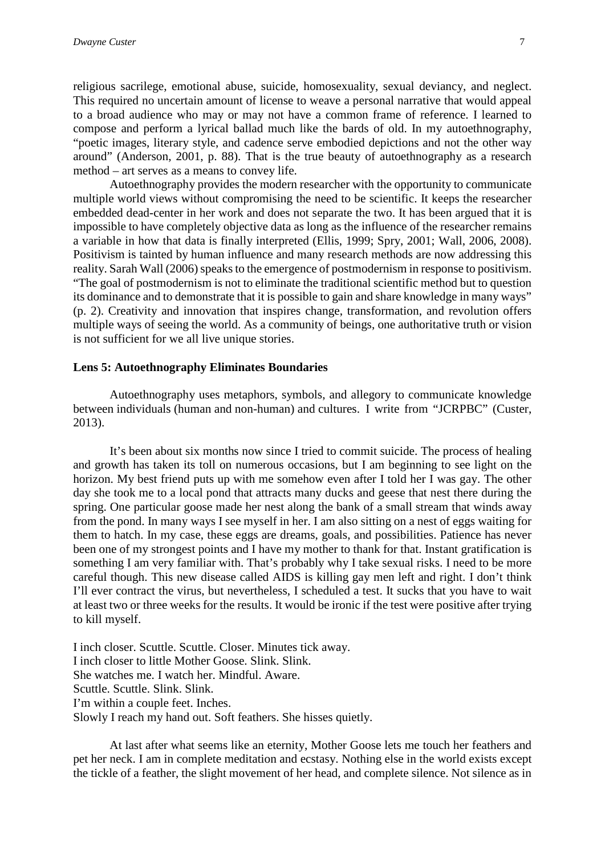religious sacrilege, emotional abuse, suicide, homosexuality, sexual deviancy, and neglect. This required no uncertain amount of license to weave a personal narrative that would appeal to a broad audience who may or may not have a common frame of reference. I learned to compose and perform a lyrical ballad much like the bards of old. In my autoethnography, "poetic images, literary style, and cadence serve embodied depictions and not the other way around" (Anderson, 2001, p. 88). That is the true beauty of autoethnography as a research method – art serves as a means to convey life.

Autoethnography provides the modern researcher with the opportunity to communicate multiple world views without compromising the need to be scientific. It keeps the researcher embedded dead-center in her work and does not separate the two. It has been argued that it is impossible to have completely objective data as long as the influence of the researcher remains a variable in how that data is finally interpreted (Ellis, 1999; Spry, 2001; Wall, 2006, 2008). Positivism is tainted by human influence and many research methods are now addressing this reality. Sarah Wall (2006) speaks to the emergence of postmodernism in response to positivism. "The goal of postmodernism is not to eliminate the traditional scientific method but to question its dominance and to demonstrate that it is possible to gain and share knowledge in many ways" (p. 2). Creativity and innovation that inspires change, transformation, and revolution offers multiple ways of seeing the world. As a community of beings, one authoritative truth or vision is not sufficient for we all live unique stories.

#### **Lens 5: Autoethnography Eliminates Boundaries**

Autoethnography uses metaphors, symbols, and allegory to communicate knowledge between individuals (human and non-human) and cultures. I write from "JCRPBC" (Custer, 2013).

It's been about six months now since I tried to commit suicide. The process of healing and growth has taken its toll on numerous occasions, but I am beginning to see light on the horizon. My best friend puts up with me somehow even after I told her I was gay. The other day she took me to a local pond that attracts many ducks and geese that nest there during the spring. One particular goose made her nest along the bank of a small stream that winds away from the pond. In many ways I see myself in her. I am also sitting on a nest of eggs waiting for them to hatch. In my case, these eggs are dreams, goals, and possibilities. Patience has never been one of my strongest points and I have my mother to thank for that. Instant gratification is something I am very familiar with. That's probably why I take sexual risks. I need to be more careful though. This new disease called AIDS is killing gay men left and right. I don't think I'll ever contract the virus, but nevertheless, I scheduled a test. It sucks that you have to wait at least two or three weeks for the results. It would be ironic if the test were positive after trying to kill myself.

I inch closer. Scuttle. Scuttle. Closer. Minutes tick away. I inch closer to little Mother Goose. Slink. Slink. She watches me. I watch her. Mindful. Aware. Scuttle. Scuttle. Slink. Slink. I'm within a couple feet. Inches. Slowly I reach my hand out. Soft feathers. She hisses quietly.

At last after what seems like an eternity, Mother Goose lets me touch her feathers and pet her neck. I am in complete meditation and ecstasy. Nothing else in the world exists except the tickle of a feather, the slight movement of her head, and complete silence. Not silence as in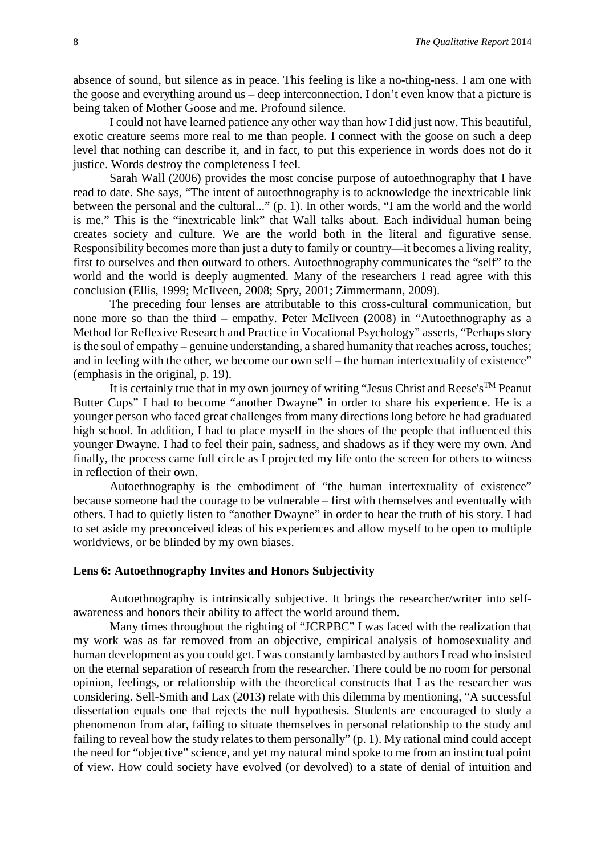absence of sound, but silence as in peace. This feeling is like a no-thing-ness. I am one with the goose and everything around us – deep interconnection. I don't even know that a picture is being taken of Mother Goose and me. Profound silence.

I could not have learned patience any other way than how I did just now. This beautiful, exotic creature seems more real to me than people. I connect with the goose on such a deep level that nothing can describe it, and in fact, to put this experience in words does not do it justice. Words destroy the completeness I feel.

Sarah Wall (2006) provides the most concise purpose of autoethnography that I have read to date. She says, "The intent of autoethnography is to acknowledge the inextricable link between the personal and the cultural..." (p. 1). In other words, "I am the world and the world is me." This is the "inextricable link" that Wall talks about. Each individual human being creates society and culture. We are the world both in the literal and figurative sense. Responsibility becomes more than just a duty to family or country—it becomes a living reality, first to ourselves and then outward to others. Autoethnography communicates the "self" to the world and the world is deeply augmented. Many of the researchers I read agree with this conclusion (Ellis, 1999; McIlveen, 2008; Spry, 2001; Zimmermann, 2009).

The preceding four lenses are attributable to this cross-cultural communication, but none more so than the third – empathy. Peter McIlveen (2008) in "Autoethnography as a Method for Reflexive Research and Practice in Vocational Psychology" asserts, "Perhaps story is the soul of empathy – genuine understanding, a shared humanity that reaches across, touches; and in feeling with the other, we become our own self – the human intertextuality of existence" (emphasis in the original, p. 19).

It is certainly true that in my own journey of writing "Jesus Christ and Reese's<sup>TM</sup> Peanut Butter Cups" I had to become "another Dwayne" in order to share his experience. He is a younger person who faced great challenges from many directions long before he had graduated high school. In addition, I had to place myself in the shoes of the people that influenced this younger Dwayne. I had to feel their pain, sadness, and shadows as if they were my own. And finally, the process came full circle as I projected my life onto the screen for others to witness in reflection of their own.

Autoethnography is the embodiment of "the human intertextuality of existence" because someone had the courage to be vulnerable – first with themselves and eventually with others. I had to quietly listen to "another Dwayne" in order to hear the truth of his story. I had to set aside my preconceived ideas of his experiences and allow myself to be open to multiple worldviews, or be blinded by my own biases.

#### **Lens 6: Autoethnography Invites and Honors Subjectivity**

Autoethnography is intrinsically subjective. It brings the researcher/writer into selfawareness and honors their ability to affect the world around them.

Many times throughout the righting of "JCRPBC" I was faced with the realization that my work was as far removed from an objective, empirical analysis of homosexuality and human development as you could get. I was constantly lambasted by authors I read who insisted on the eternal separation of research from the researcher. There could be no room for personal opinion, feelings, or relationship with the theoretical constructs that I as the researcher was considering. Sell-Smith and Lax (2013) relate with this dilemma by mentioning, "A successful dissertation equals one that rejects the null hypothesis. Students are encouraged to study a phenomenon from afar, failing to situate themselves in personal relationship to the study and failing to reveal how the study relates to them personally" (p. 1). My rational mind could accept the need for "objective" science, and yet my natural mind spoke to me from an instinctual point of view. How could society have evolved (or devolved) to a state of denial of intuition and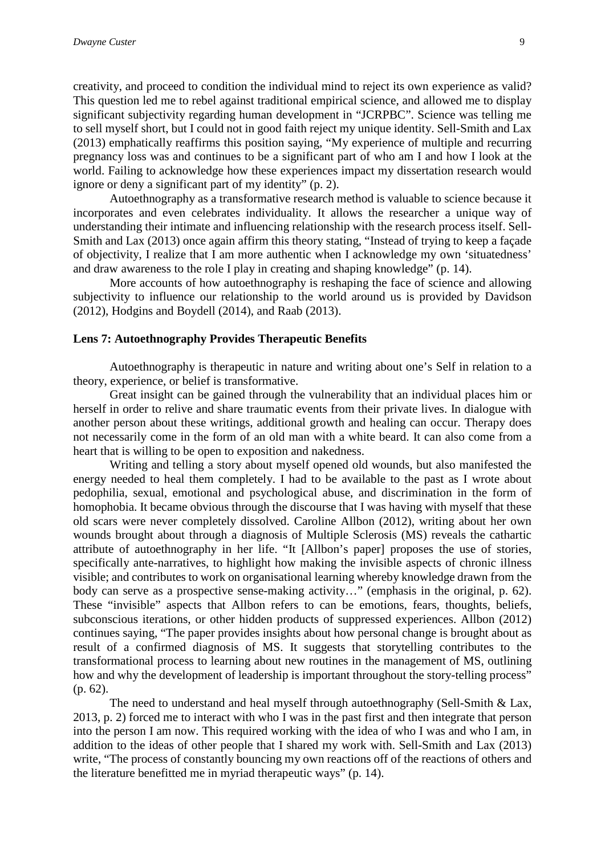creativity, and proceed to condition the individual mind to reject its own experience as valid? This question led me to rebel against traditional empirical science, and allowed me to display significant subjectivity regarding human development in "JCRPBC". Science was telling me to sell myself short, but I could not in good faith reject my unique identity. Sell-Smith and Lax (2013) emphatically reaffirms this position saying, "My experience of multiple and recurring pregnancy loss was and continues to be a significant part of who am I and how I look at the world. Failing to acknowledge how these experiences impact my dissertation research would ignore or deny a significant part of my identity" (p. 2).

Autoethnography as a transformative research method is valuable to science because it incorporates and even celebrates individuality. It allows the researcher a unique way of understanding their intimate and influencing relationship with the research process itself. Sell-Smith and Lax (2013) once again affirm this theory stating, "Instead of trying to keep a façade of objectivity, I realize that I am more authentic when I acknowledge my own 'situatedness' and draw awareness to the role I play in creating and shaping knowledge" (p. 14).

More accounts of how autoethnography is reshaping the face of science and allowing subjectivity to influence our relationship to the world around us is provided by Davidson (2012), Hodgins and Boydell (2014), and Raab (2013).

#### **Lens 7: Autoethnography Provides Therapeutic Benefits**

Autoethnography is therapeutic in nature and writing about one's Self in relation to a theory, experience, or belief is transformative.

Great insight can be gained through the vulnerability that an individual places him or herself in order to relive and share traumatic events from their private lives. In dialogue with another person about these writings, additional growth and healing can occur. Therapy does not necessarily come in the form of an old man with a white beard. It can also come from a heart that is willing to be open to exposition and nakedness.

Writing and telling a story about myself opened old wounds, but also manifested the energy needed to heal them completely. I had to be available to the past as I wrote about pedophilia, sexual, emotional and psychological abuse, and discrimination in the form of homophobia. It became obvious through the discourse that I was having with myself that these old scars were never completely dissolved. Caroline Allbon (2012), writing about her own wounds brought about through a diagnosis of Multiple Sclerosis (MS) reveals the cathartic attribute of autoethnography in her life. "It [Allbon's paper] proposes the use of stories, specifically ante-narratives, to highlight how making the invisible aspects of chronic illness visible; and contributes to work on organisational learning whereby knowledge drawn from the body can serve as a prospective sense-making activity…" (emphasis in the original, p. 62). These "invisible" aspects that Allbon refers to can be emotions, fears, thoughts, beliefs, subconscious iterations, or other hidden products of suppressed experiences. Allbon (2012) continues saying, "The paper provides insights about how personal change is brought about as result of a confirmed diagnosis of MS. It suggests that storytelling contributes to the transformational process to learning about new routines in the management of MS, outlining how and why the development of leadership is important throughout the story-telling process" (p. 62).

The need to understand and heal myself through autoethnography (Sell-Smith & Lax, 2013, p. 2) forced me to interact with who I was in the past first and then integrate that person into the person I am now. This required working with the idea of who I was and who I am, in addition to the ideas of other people that I shared my work with. Sell-Smith and Lax (2013) write, "The process of constantly bouncing my own reactions off of the reactions of others and the literature benefitted me in myriad therapeutic ways" (p. 14).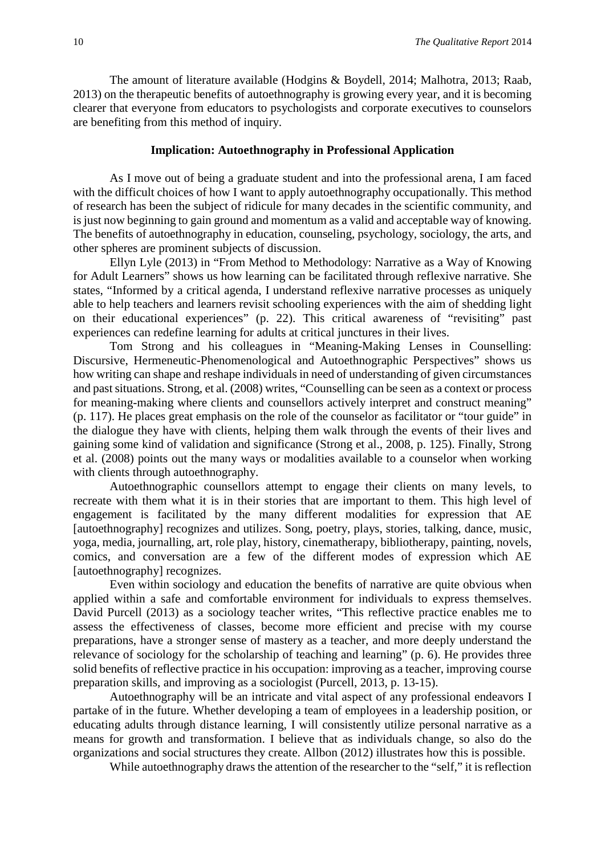The amount of literature available (Hodgins & Boydell, 2014; Malhotra, 2013; Raab, 2013) on the therapeutic benefits of autoethnography is growing every year, and it is becoming clearer that everyone from educators to psychologists and corporate executives to counselors are benefiting from this method of inquiry.

#### **Implication: Autoethnography in Professional Application**

As I move out of being a graduate student and into the professional arena, I am faced with the difficult choices of how I want to apply autoethnography occupationally. This method of research has been the subject of ridicule for many decades in the scientific community, and is just now beginning to gain ground and momentum as a valid and acceptable way of knowing. The benefits of autoethnography in education, counseling, psychology, sociology, the arts, and other spheres are prominent subjects of discussion.

Ellyn Lyle (2013) in "From Method to Methodology: Narrative as a Way of Knowing for Adult Learners" shows us how learning can be facilitated through reflexive narrative. She states, "Informed by a critical agenda, I understand reflexive narrative processes as uniquely able to help teachers and learners revisit schooling experiences with the aim of shedding light on their educational experiences" (p. 22). This critical awareness of "revisiting" past experiences can redefine learning for adults at critical junctures in their lives.

Tom Strong and his colleagues in "Meaning-Making Lenses in Counselling: Discursive, Hermeneutic-Phenomenological and Autoethnographic Perspectives" shows us how writing can shape and reshape individuals in need of understanding of given circumstances and past situations. Strong, et al. (2008) writes, "Counselling can be seen as a context or process for meaning-making where clients and counsellors actively interpret and construct meaning" (p. 117). He places great emphasis on the role of the counselor as facilitator or "tour guide" in the dialogue they have with clients, helping them walk through the events of their lives and gaining some kind of validation and significance (Strong et al., 2008, p. 125). Finally, Strong et al. (2008) points out the many ways or modalities available to a counselor when working with clients through autoethnography.

Autoethnographic counsellors attempt to engage their clients on many levels, to recreate with them what it is in their stories that are important to them. This high level of engagement is facilitated by the many different modalities for expression that AE [autoethnography] recognizes and utilizes. Song, poetry, plays, stories, talking, dance, music, yoga, media, journalling, art, role play, history, cinematherapy, bibliotherapy, painting, novels, comics, and conversation are a few of the different modes of expression which AE [autoethnography] recognizes.

Even within sociology and education the benefits of narrative are quite obvious when applied within a safe and comfortable environment for individuals to express themselves. David Purcell (2013) as a sociology teacher writes, "This reflective practice enables me to assess the effectiveness of classes, become more efficient and precise with my course preparations, have a stronger sense of mastery as a teacher, and more deeply understand the relevance of sociology for the scholarship of teaching and learning" (p. 6). He provides three solid benefits of reflective practice in his occupation: improving as a teacher, improving course preparation skills, and improving as a sociologist (Purcell, 2013, p. 13-15).

Autoethnography will be an intricate and vital aspect of any professional endeavors I partake of in the future. Whether developing a team of employees in a leadership position, or educating adults through distance learning, I will consistently utilize personal narrative as a means for growth and transformation. I believe that as individuals change, so also do the organizations and social structures they create. Allbon (2012) illustrates how this is possible.

While autoethnography draws the attention of the researcher to the "self," it is reflection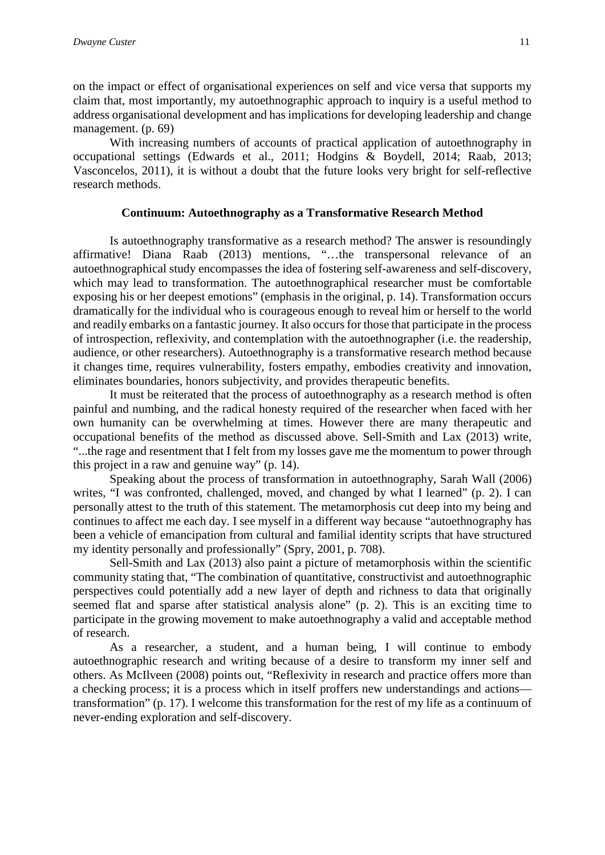on the impact or effect of organisational experiences on self and vice versa that supports my claim that, most importantly, my autoethnographic approach to inquiry is a useful method to address organisational development and has implications for developing leadership and change management. (p. 69)

With increasing numbers of accounts of practical application of autoethnography in occupational settings (Edwards et al., 2011; Hodgins & Boydell, 2014; Raab, 2013; Vasconcelos, 2011), it is without a doubt that the future looks very bright for self-reflective research methods.

#### **Continuum: Autoethnography as a Transformative Research Method**

Is autoethnography transformative as a research method? The answer is resoundingly affirmative! Diana Raab (2013) mentions, "…the transpersonal relevance of an autoethnographical study encompasses the idea of fostering self-awareness and self-discovery, which may lead to transformation. The autoethnographical researcher must be comfortable exposing his or her deepest emotions" (emphasis in the original, p. 14). Transformation occurs dramatically for the individual who is courageous enough to reveal him or herself to the world and readily embarks on a fantastic journey. It also occurs for those that participate in the process of introspection, reflexivity, and contemplation with the autoethnographer (i.e. the readership, audience, or other researchers). Autoethnography is a transformative research method because it changes time, requires vulnerability, fosters empathy, embodies creativity and innovation, eliminates boundaries, honors subjectivity, and provides therapeutic benefits.

It must be reiterated that the process of autoethnography as a research method is often painful and numbing, and the radical honesty required of the researcher when faced with her own humanity can be overwhelming at times. However there are many therapeutic and occupational benefits of the method as discussed above. Sell-Smith and Lax (2013) write, "...the rage and resentment that I felt from my losses gave me the momentum to power through this project in a raw and genuine way" (p. 14).

Speaking about the process of transformation in autoethnography, Sarah Wall (2006) writes, "I was confronted, challenged, moved, and changed by what I learned" (p. 2). I can personally attest to the truth of this statement. The metamorphosis cut deep into my being and continues to affect me each day. I see myself in a different way because "autoethnography has been a vehicle of emancipation from cultural and familial identity scripts that have structured my identity personally and professionally" (Spry, 2001, p. 708).

Sell-Smith and Lax (2013) also paint a picture of metamorphosis within the scientific community stating that, "The combination of quantitative, constructivist and autoethnographic perspectives could potentially add a new layer of depth and richness to data that originally seemed flat and sparse after statistical analysis alone" (p. 2). This is an exciting time to participate in the growing movement to make autoethnography a valid and acceptable method of research.

As a researcher, a student, and a human being, I will continue to embody autoethnographic research and writing because of a desire to transform my inner self and others. As McIlveen (2008) points out, "Reflexivity in research and practice offers more than a checking process; it is a process which in itself proffers new understandings and actions transformation" (p. 17). I welcome this transformation for the rest of my life as a continuum of never-ending exploration and self-discovery.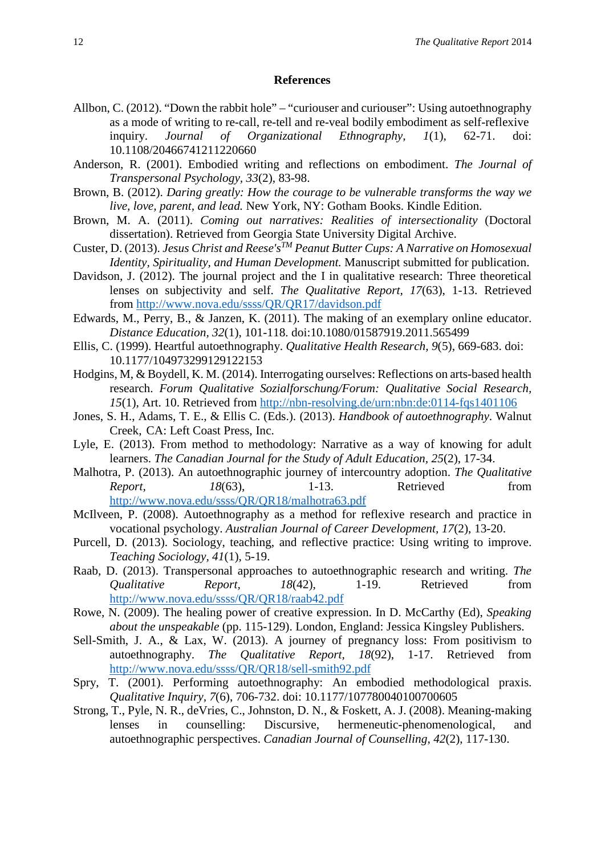#### **References**

- Allbon, C. (2012). "Down the rabbit hole" "curiouser and curiouser": Using autoethnography as a mode of writing to re-call, re-tell and re-veal bodily embodiment as self-reflexive inquiry. *Journal of Organizational Ethnography, 1*(1), 62-71. doi: 10.1108/20466741211220660
- Anderson, R. (2001). Embodied writing and reflections on embodiment. *The Journal of Transpersonal Psychology, 33*(2), 83-98.
- Brown, B. (2012). *Daring greatly: How the courage to be vulnerable transforms the way we live, love, parent, and lead.* New York, NY: Gotham Books. Kindle Edition.
- Brown, M. A. (2011). *Coming out narratives: Realities of intersectionality* (Doctoral dissertation). Retrieved from Georgia State University Digital Archive.
- Custer, D. (2013). *Jesus Christ and Reese'sTM Peanut Butter Cups: A Narrative on Homosexual Identity, Spirituality, and Human Development.* Manuscript submitted for publication.
- Davidson, J. (2012). The journal project and the I in qualitative research: Three theoretical lenses on subjectivity and self. *The Qualitative Report, 17*(63), 1-13. Retrieved from<http://www.nova.edu/ssss/QR/QR17/davidson.pdf>
- Edwards, M., Perry, B., & Janzen, K. (2011). The making of an exemplary online educator. *Distance Education, 32*(1), 101-118. doi:10.1080/01587919.2011.565499
- Ellis, C. (1999). Heartful autoethnography. *Qualitative Health Research, 9*(5), 669-683. doi: 10.1177/104973299129122153
- Hodgins, M, & Boydell, K. M. (2014). Interrogating ourselves: Reflections on arts-based health research. *Forum Qualitative Sozialforschung/Forum: Qualitative Social Research, 15*(1), Art. 10. Retrieved from<http://nbn-resolving.de/urn:nbn:de:0114-fqs1401106>
- Jones, S. H., Adams, T. E., & Ellis C. (Eds.). (2013). *Handbook of autoethnography*. Walnut Creek, CA: Left Coast Press, Inc.
- Lyle, E. (2013). From method to methodology: Narrative as a way of knowing for adult learners. *The Canadian Journal for the Study of Adult Education, 25*(2), 17-34.
- Malhotra, P. (2013). An autoethnographic journey of intercountry adoption. *The Qualitative Report, 18*(63), 1-13. Retrieved from <http://www.nova.edu/ssss/QR/QR18/malhotra63.pdf>
- McIlveen, P. (2008). Autoethnography as a method for reflexive research and practice in vocational psychology. *Australian Journal of Career Development, 17*(2), 13-20.
- Purcell, D. (2013). Sociology, teaching, and reflective practice: Using writing to improve. *Teaching Sociology, 41*(1), 5-19.
- Raab, D. (2013). Transpersonal approaches to autoethnographic research and writing. *The Qualitative Report, 18*(42), 1-19. Retrieved from <http://www.nova.edu/ssss/QR/QR18/raab42.pdf>
- Rowe, N. (2009). The healing power of creative expression. In D. McCarthy (Ed), *Speaking about the unspeakable* (pp. 115-129). London, England: Jessica Kingsley Publishers.
- Sell-Smith, J. A., & Lax, W. (2013). A journey of pregnancy loss: From positivism to autoethnography. *The Qualitative Report, 18*(92), 1-17. Retrieved from <http://www.nova.edu/ssss/QR/QR18/sell-smith92.pdf>
- Spry, T. (2001). Performing autoethnography: An embodied methodological praxis. *Qualitative Inquiry, 7*(6), 706-732. doi: 10.1177/107780040100700605
- Strong, T., Pyle, N. R., deVries, C., Johnston, D. N., & Foskett, A. J. (2008). Meaning-making lenses in counselling: Discursive, hermeneutic-phenomenological, and autoethnographic perspectives. *Canadian Journal of Counselling, 42*(2), 117-130.